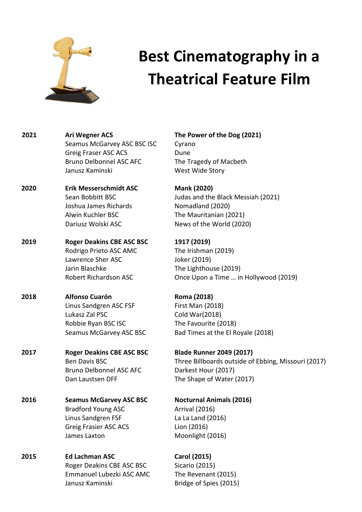

# **Best Cinematography in a Theatrical Feature Film**

**2021 Ari Wegner ACS The Power of the Dog (2021)** Seamus McGarvey ASC BSC ISC Cyrano Greig Fraser ASC ACS Dune Bruno Delbonnel ASC AFC The Tragedy of Macbeth Janusz Kaminski West Wide Story

**2020 Erik Messerschmidt ASC Mank (2020)** Joshua James Richards Nomadland (2020) Alwin Kuchler BSC The Mauritanian (2021)

**2019 Roger Deakins CBE ASC BSC 1917 (2019)** Rodrigo Prieto ASC AMC The Irishman (2019) Lawrence Sher ASC Joker (2019) Jarin Blaschke The Lighthouse (2019)

**2018 Alfonso Cuarón Roma (2018)** Linus Sandgren ASC FSF First Man (2018) Lukasz Zal PSC Cold War(2018) Robbie Ryan BSC ISC The Favourite (2018)

**2017 Roger Deakins CBE ASC BSC Blade Runner 2049 (2017)** Bruno Delbonnel ASC AFC Darkest Hour (2017) Dan Laustsen DFF The Shape of Water (2017)

- **2016 Seamus McGarvey ASC BSC Nocturnal Animals (2016)**  Bradford Young ASC **Arrival** (2016) Linus Sandgren FSF La La Land (2016) Greig Frasier ASC ACS Lion (2016) James Laxton Moonlight (2016)
- **2015 Ed Lachman ASC Carol (2015)** Roger Deakins CBE ASC BSC Sicario (2015) Emmanuel Lubezki ASC AMC The Revenant (2015) Janusz Kaminski **Bridge of Spies (2015)**

Sean Bobbitt BSC Judas and the Black Messiah (2021) Dariusz Wolski ASC News of the World (2020)

Robert Richardson ASC Once Upon a Time … in Hollywood (2019)

Seamus McGarvey ASC BSC Bad Times at the El Royale (2018)

Ben Davis BSC **Three Billboards outside of Ebbing, Missouri (2017)**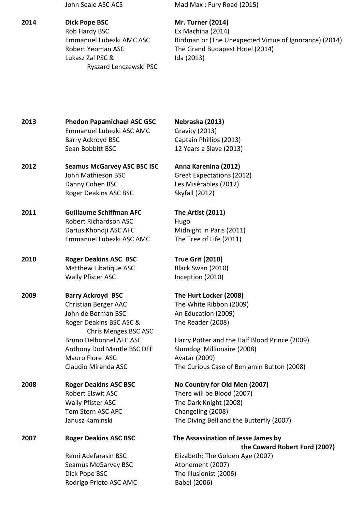**2014 Dick Pope BSC Mr. Turner (2014)** 

 Rob Hardy BSC Ex Machina (2014) Lukasz Zal PSC & Ida (2013) Ryszard Lenczewski PSC

John Seale ASC ACS Mad Max : Fury Road (2015)

Emmanuel Lubezki AMC ASC Birdman or (The Unexpected Virtue of Ignorance) (2014) Robert Yeoman ASC The Grand Budapest Hotel (2014)

**2013 Phedon Papamichael ASC GSC Nebraska (2013)** Emmanuel Lubezki ASC AMC Gravity (2013) Barry Ackroyd BSC Captain Phillips (2013) Sean Bobbitt BSC 12 Years a Slave (2013)

**2012 Seamus McGarvey ASC BSC ISC Anna Karenina (2012)** John Mathieson BSC Great Expectations (2012) Danny Cohen BSC Les Misérables (2012) Roger Deakins ASC BSC Skyfall (2012)

**2011 Guillaume Schiffman AFC The Artist (2011)**  Robert Richardson ASC Hugo Darius Khondji ASC AFC Midnight in Paris (2011) Emmanuel Lubezki ASC AMC The Tree of Life (2011)

**2010 Roger Deakins ASC BSC True Grit (2010)**  Matthew Libatique ASC Black Swan (2010) Wally Pfister ASC Inception (2010)

**2009 Barry Ackroyd BSC The Hurt Locker (2008)**  Christian Berger AAC The White Ribbon (2009) John de Borman BSC An Education (2009) Roger Deakins BSC ASC & The Reader (2008) Chris Menges BSC ASC Anthony Dod Mantle BSC DFF Slumdog Millionaire (2008) Mauro Fiore ASC Avatar (2009)

**2008 Roger Deakins ASC BSC No Country for Old Men (2007)**  Wally Pfister ASC The Dark Knight (2008) Tom Stern ASC AFC Changeling (2008)

**2007 Roger Deakins ASC BSC The Assassination of Jesse James by** 

Seamus McGarvey BSC **Atonement** (2007) Dick Pope BSC The Illusionist (2006) Rodrigo Prieto ASC AMC Babel (2006)

 Bruno Delbonnel AFC ASC Harry Potter and the Half Blood Prince (2009) Claudio Miranda ASC The Curious Case of Benjamin Button (2008)

Robert Elswit ASC There will be Blood (2007) Janusz Kaminski The Diving Bell and the Butterfly (2007)

 **the Coward Robert Ford (2007)** Remi Adefarasin BSC Elizabeth: The Golden Age (2007)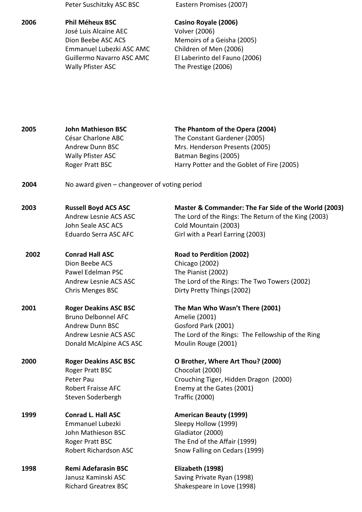## **2006 Phil Méheux BSC Casino Royale (2006)**  José Luis Alcaine AEC Volver (2006) Dion Beebe ASC ACS Memoirs of a Geisha (2005) Emmanuel Lubezki ASC AMC Children of Men (2006) Wally Pfister ASC The Prestige (2006)

Peter Suschitzky ASC BSC Eastern Promises (2007)

Guillermo Navarro ASC AMC El Laberinto del Fauno (2006)

**2005 John Mathieson BSC The Phantom of the Opera (2004)**  César Charlone ABC The Constant Gardener (2005) Andrew Dunn BSC Mrs. Henderson Presents (2005) Wally Pfister ASC Batman Begins (2005) Roger Pratt BSC Harry Potter and the Goblet of Fire (2005) **2004** No award given – changeover of voting period **2003 Russell Boyd ACS ASC Master & Commander: The Far Side of the World (2003)** Andrew Lesnie ACS ASC The Lord of the Rings: The Return of the King (2003) John Seale ASC ACS Cold Mountain (2003) Eduardo Serra ASC AFC Girl with a Pearl Earring (2003) **2002 Conrad Hall ASC Road to Perdition (2002)**  Dion Beebe ACS Chicago (2002) Pawel Edelman PSC The Pianist (2002) Andrew Lesnie ACS ASC The Lord of the Rings: The Two Towers (2002) Chris Menges BSC Dirty Pretty Things (2002) **2001 Roger Deakins ASC BSC The Man Who Wasn't There (2001)**  Bruno Delbonnel AFC Amelie (2001) Andrew Dunn BSC Gosford Park (2001) Andrew Lesnie ACS ASC The Lord of the Rings: The Fellowship of the Ring Donald McAlpine ACS ASC Moulin Rouge (2001) **2000 Roger Deakins ASC BSC O Brother, Where Art Thou? (2000)** Roger Pratt BSC Chocolat (2000) Peter Pau **Crouching Tiger, Hidden Dragon (2000)** Robert Fraisse AFC Enemy at the Gates (2001) Steven Soderbergh Traffic (2000) 1999 **Conrad L. Hall ASC American Beauty (1999)** Emmanuel Lubezki Sleepy Hollow (1999) John Mathieson BSC Gladiator (2000) Roger Pratt BSC The End of the Affair (1999) Robert Richardson ASC Snow Falling on Cedars (1999) **1998 Remi Adefarasin BSC Elizabeth (1998)** 

Janusz Kaminski ASC Saving Private Ryan (1998) Richard Greatrex BSC Shakespeare in Love (1998)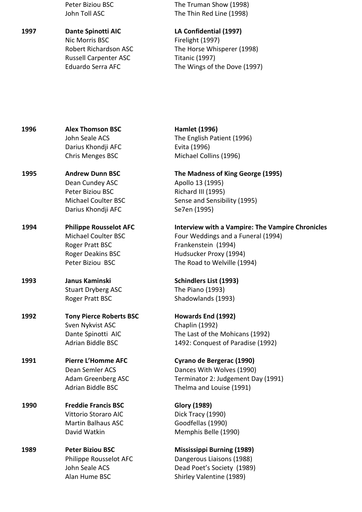**1997 Dante Spinotti AIC LA Confidential (1997)**  Nic Morris BSC Firelight (1997) Russell Carpenter ASC Titanic (1997)

Peter Biziou BSC The Truman Show (1998) John Toll ASC The Thin Red Line (1998)

 Robert Richardson ASC The Horse Whisperer (1998) Eduardo Serra AFC The Wings of the Dove (1997)

**1996 Alex Thomson BSC Hamlet (1996)**  John Seale ACS The English Patient (1996) Darius Khondji AFC **Evita** (1996) Chris Menges BSC Michael Collins (1996) **1995 Andrew Dunn BSC The Madness of King George (1995)**  Dean Cundey ASC Apollo 13 (1995) Peter Biziou BSC Richard III (1995) Darius Khondji AFC Se7en (1995) 1993 Janus Kaminski **Schindlers List (1993**) Stuart Dryberg ASC The Piano (1993) Roger Pratt BSC Shadowlands (1993) **1992 Tony Pierce Roberts BSC Howards End (1992)**  Sven Nykvist ASC Chaplin (1992) **1991 Pierre L'Homme AFC Cyrano de Bergerac (1990)**  Adrian Biddle BSC Thelma and Louise (1991) **1990 Freddie Francis BSC Glory (1989)**  Vittorio Storaro AIC Dick Tracy (1990) Martin Balhaus ASC Goodfellas (1990) David Watkin Memphis Belle (1990) **1989 Peter Biziou BSC Mississippi Burning (1989)**  Philippe Rousselot AFC Dangerous Liaisons (1988) John Seale ACS Dead Poet's Society (1989)

Michael Coulter BSC Sense and Sensibility (1995)

**1994 Philippe Rousselot AFC Interview with a Vampire: The Vampire Chronicles**  Michael Coulter BSC Four Weddings and a Funeral (1994) Roger Pratt BSC Frankenstein (1994) Roger Deakins BSC Hudsucker Proxy (1994) Peter Biziou BSC The Road to Welville (1994)

Dante Spinotti AIC The Last of the Mohicans (1992) Adrian Biddle BSC 1492: Conquest of Paradise (1992)

Dean Semler ACS Dances With Wolves (1990) Adam Greenberg ASC Terminator 2: Judgement Day (1991)

Alan Hume BSC Shirley Valentine (1989)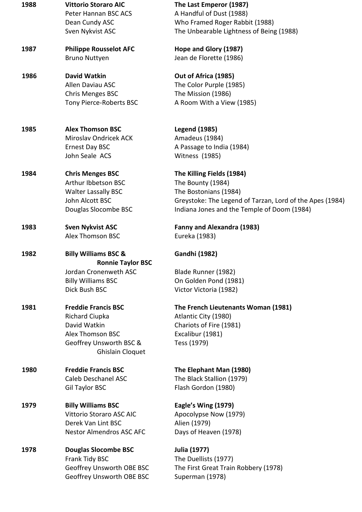| 1988 | <b>Vittorio Storaro AIC</b><br>Peter Hannan BSC ACS<br>Dean Cundy ASC<br>Sven Nykvist ASC | The Last Emperor (1987)<br>A Handful of Dust (1988)<br>Who Framed Roger Rabbit (1988)<br>The Unbearable Lightness of Being (1988) |
|------|-------------------------------------------------------------------------------------------|-----------------------------------------------------------------------------------------------------------------------------------|
| 1987 | <b>Philippe Rousselot AFC</b>                                                             | Hope and Glory (1987)                                                                                                             |
|      | <b>Bruno Nuttyen</b>                                                                      | Jean de Florette (1986)                                                                                                           |
| 1986 | <b>David Watkin</b>                                                                       | Out of Africa (1985)                                                                                                              |
|      | Allen Daviau ASC                                                                          | The Color Purple (1985)                                                                                                           |
|      | Chris Menges BSC                                                                          | The Mission (1986)                                                                                                                |
|      | Tony Pierce-Roberts BSC                                                                   | A Room With a View (1985)                                                                                                         |
| 1985 | <b>Alex Thomson BSC</b>                                                                   | <b>Legend (1985)</b>                                                                                                              |
|      | <b>Miroslav Ondricek ACK</b>                                                              | Amadeus (1984)                                                                                                                    |
|      | <b>Ernest Day BSC</b>                                                                     | A Passage to India (1984)                                                                                                         |
|      | John Seale ACS                                                                            | <b>Witness (1985)</b>                                                                                                             |
| 1984 | <b>Chris Menges BSC</b>                                                                   | The Killing Fields (1984)                                                                                                         |
|      | Arthur Ibbetson BSC                                                                       | The Bounty (1984)                                                                                                                 |
|      | <b>Walter Lassally BSC</b>                                                                | The Bostonians (1984)                                                                                                             |
|      | John Alcott BSC                                                                           | Greystoke: The Legend of Tarzan, Lord of the Apes (1984)                                                                          |
|      | Douglas Slocombe BSC                                                                      | Indiana Jones and the Temple of Doom (1984)                                                                                       |
| 1983 | <b>Sven Nykvist ASC</b>                                                                   | <b>Fanny and Alexandra (1983)</b>                                                                                                 |
|      | Alex Thomson BSC                                                                          | Eureka (1983)                                                                                                                     |
| 1982 | <b>Billy Williams BSC &amp;</b><br><b>Ronnie Taylor BSC</b>                               | <b>Gandhi (1982)</b>                                                                                                              |
|      | Jordan Cronenweth ASC                                                                     | Blade Runner (1982)                                                                                                               |
|      | <b>Billy Williams BSC</b>                                                                 | On Golden Pond (1981)                                                                                                             |
|      | Dick Bush BSC                                                                             | Victor Victoria (1982)                                                                                                            |
| 1981 | <b>Freddie Francis BSC</b>                                                                | The French Lieutenants Woman (1981)                                                                                               |
|      | <b>Richard Ciupka</b>                                                                     | Atlantic City (1980)                                                                                                              |
|      | David Watkin                                                                              | Chariots of Fire (1981)                                                                                                           |
|      | <b>Alex Thomson BSC</b>                                                                   | Excalibur (1981)                                                                                                                  |
|      | Geoffrey Unsworth BSC &<br>Ghislain Cloquet                                               | Tess (1979)                                                                                                                       |
| 1980 | <b>Freddie Francis BSC</b>                                                                | The Elephant Man (1980)                                                                                                           |
|      | Caleb Deschanel ASC                                                                       | The Black Stallion (1979)                                                                                                         |
|      | Gil Taylor BSC                                                                            | Flash Gordon (1980)                                                                                                               |
| 1979 | <b>Billy Williams BSC</b>                                                                 | Eagle's Wing (1979)                                                                                                               |
|      | Vittorio Storaro ASC AIC                                                                  | Apocolypse Now (1979)                                                                                                             |
|      | Derek Van Lint BSC                                                                        | Alien (1979)                                                                                                                      |
|      | <b>Nestor Almendros ASC AFC</b>                                                           | Days of Heaven (1978)                                                                                                             |
| 1978 | <b>Douglas Slocombe BSC</b>                                                               | Julia (1977)                                                                                                                      |
|      | Frank Tidy BSC                                                                            | The Duellists (1977)                                                                                                              |
|      |                                                                                           |                                                                                                                                   |
|      | Geoffrey Unsworth OBE BSC                                                                 | The First Great Train Robbery (1978)                                                                                              |
|      | Geoffrey Unsworth OBE BSC                                                                 | Superman (1978)                                                                                                                   |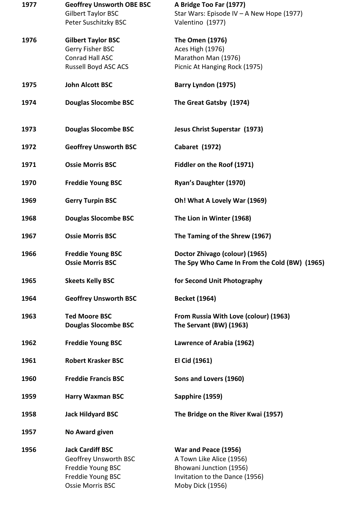| 1977 | <b>Geoffrey Unsworth OBE BSC</b><br><b>Gilbert Taylor BSC</b><br>Peter Suschitzky BSC                          | A Bridge Too Far (1977)<br>Star Wars: Episode IV - A New Hope (1977)<br>Valentino (1977)                                          |
|------|----------------------------------------------------------------------------------------------------------------|-----------------------------------------------------------------------------------------------------------------------------------|
| 1976 | <b>Gilbert Taylor BSC</b><br>Gerry Fisher BSC<br>Conrad Hall ASC<br>Russell Boyd ASC ACS                       | The Omen (1976)<br>Aces High (1976)<br>Marathon Man (1976)<br>Picnic At Hanging Rock (1975)                                       |
| 1975 | <b>John Alcott BSC</b>                                                                                         | Barry Lyndon (1975)                                                                                                               |
| 1974 | <b>Douglas Slocombe BSC</b>                                                                                    | The Great Gatsby (1974)                                                                                                           |
| 1973 | <b>Douglas Slocombe BSC</b>                                                                                    | Jesus Christ Superstar (1973)                                                                                                     |
| 1972 | <b>Geoffrey Unsworth BSC</b>                                                                                   | <b>Cabaret (1972)</b>                                                                                                             |
| 1971 | <b>Ossie Morris BSC</b>                                                                                        | Fiddler on the Roof (1971)                                                                                                        |
| 1970 | <b>Freddie Young BSC</b>                                                                                       | Ryan's Daughter (1970)                                                                                                            |
| 1969 | <b>Gerry Turpin BSC</b>                                                                                        | Oh! What A Lovely War (1969)                                                                                                      |
| 1968 | <b>Douglas Slocombe BSC</b>                                                                                    | The Lion in Winter (1968)                                                                                                         |
| 1967 | <b>Ossie Morris BSC</b>                                                                                        | The Taming of the Shrew (1967)                                                                                                    |
| 1966 | <b>Freddie Young BSC</b><br><b>Ossie Morris BSC</b>                                                            | Doctor Zhivago (colour) (1965)<br>The Spy Who Came In From the Cold (BW) (1965)                                                   |
| 1965 | <b>Skeets Kelly BSC</b>                                                                                        | for Second Unit Photography                                                                                                       |
| 1964 | <b>Geoffrey Unsworth BSC</b>                                                                                   | <b>Becket (1964)</b>                                                                                                              |
| 1963 | <b>Ted Moore BSC</b><br><b>Douglas Slocombe BSC</b>                                                            | From Russia With Love (colour) (1963)<br>The Servant (BW) (1963)                                                                  |
| 1962 | <b>Freddie Young BSC</b>                                                                                       | Lawrence of Arabia (1962)                                                                                                         |
| 1961 | <b>Robert Krasker BSC</b>                                                                                      | El Cid (1961)                                                                                                                     |
| 1960 | <b>Freddie Francis BSC</b>                                                                                     | Sons and Lovers (1960)                                                                                                            |
| 1959 | <b>Harry Waxman BSC</b>                                                                                        | Sapphire (1959)                                                                                                                   |
| 1958 | <b>Jack Hildyard BSC</b>                                                                                       | The Bridge on the River Kwai (1957)                                                                                               |
| 1957 | <b>No Award given</b>                                                                                          |                                                                                                                                   |
| 1956 | <b>Jack Cardiff BSC</b><br>Geoffrey Unsworth BSC<br>Freddie Young BSC<br>Freddie Young BSC<br>Ossie Morris BSC | War and Peace (1956)<br>A Town Like Alice (1956)<br>Bhowani Junction (1956)<br>Invitation to the Dance (1956)<br>Moby Dick (1956) |